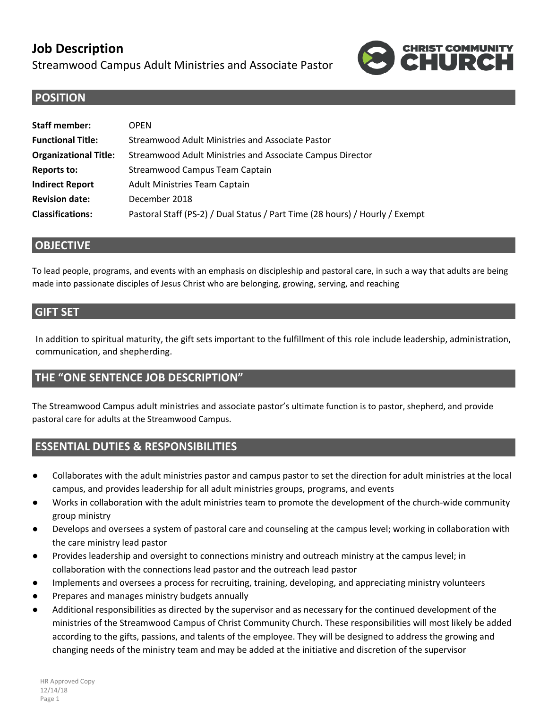# **Job Description**

Streamwood Campus Adult Ministries and Associate Pastor



### **POSITION**

| <b>Staff member:</b>         | <b>OPFN</b>                                                                  |  |
|------------------------------|------------------------------------------------------------------------------|--|
| <b>Functional Title:</b>     | Streamwood Adult Ministries and Associate Pastor                             |  |
| <b>Organizational Title:</b> | Streamwood Adult Ministries and Associate Campus Director                    |  |
| <b>Reports to:</b>           | Streamwood Campus Team Captain                                               |  |
| <b>Indirect Report</b>       | Adult Ministries Team Captain                                                |  |
| <b>Revision date:</b>        | December 2018                                                                |  |
| <b>Classifications:</b>      | Pastoral Staff (PS-2) / Dual Status / Part Time (28 hours) / Hourly / Exempt |  |

#### **OBJECTIVE**

To lead people, programs, and events with an emphasis on discipleship and pastoral care, in such a way that adults are being made into passionate disciples of Jesus Christ who are belonging, growing, serving, and reaching

#### **GIFT SET**

In addition to spiritual maturity, the gift sets important to the fulfillment of this role include leadership, administration, communication, and shepherding.

## **THE "ONE SENTENCE JOB DESCRIPTION"**

The Streamwood Campus adult ministries and associate pastor's ultimate function is to pastor, shepherd, and provide pastoral care for adults at the Streamwood Campus.

### **ESSENTIAL DUTIES & RESPONSIBILITIES**

- Collaborates with the adult ministries pastor and campus pastor to set the direction for adult ministries at the local campus, and provides leadership for all adult ministries groups, programs, and events
- Works in collaboration with the adult ministries team to promote the development of the church-wide community group ministry
- Develops and oversees a system of pastoral care and counseling at the campus level; working in collaboration with the care ministry lead pastor
- Provides leadership and oversight to connections ministry and outreach ministry at the campus level; in collaboration with the connections lead pastor and the outreach lead pastor
- Implements and oversees a process for recruiting, training, developing, and appreciating ministry volunteers
- Prepares and manages ministry budgets annually
- Additional responsibilities as directed by the supervisor and as necessary for the continued development of the ministries of the Streamwood Campus of Christ Community Church. These responsibilities will most likely be added according to the gifts, passions, and talents of the employee. They will be designed to address the growing and changing needs of the ministry team and may be added at the initiative and discretion of the supervisor